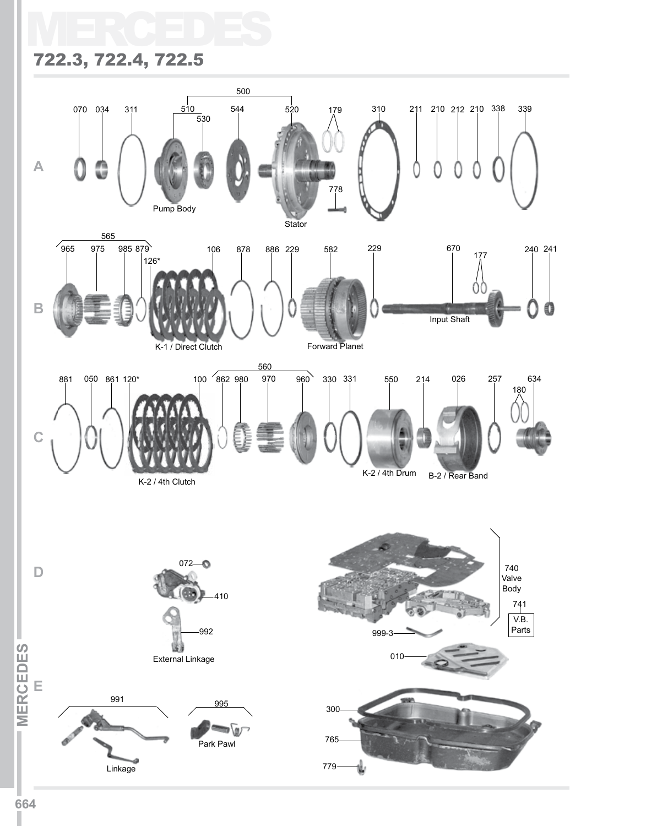# MERCEDES 722.3, 722.4, 722.5

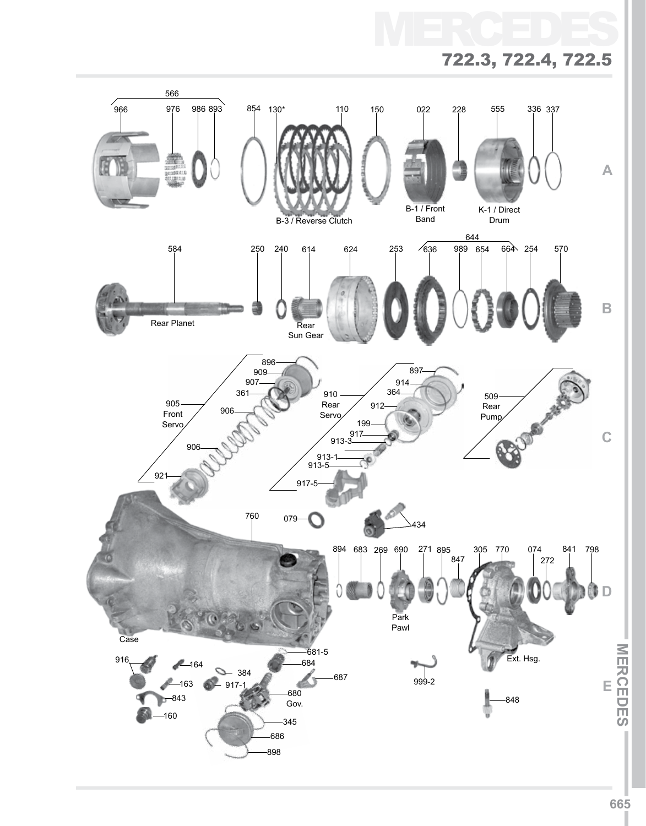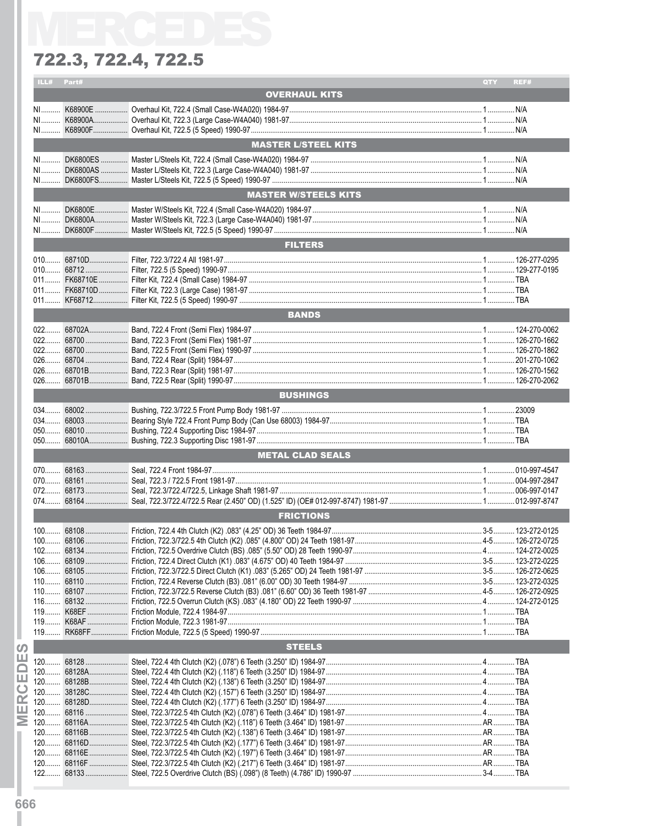| ILL#  | Part# |                             | <b>QTY</b> | REF# |
|-------|-------|-----------------------------|------------|------|
|       |       | <b>OVERHAUL KITS</b>        |            |      |
|       |       |                             |            |      |
|       |       |                             |            |      |
|       |       |                             |            |      |
|       |       |                             |            |      |
|       |       | <b>MASTER L/STEEL KITS</b>  |            |      |
| NI    |       |                             |            |      |
|       |       |                             |            |      |
|       |       |                             |            |      |
|       |       | <b>MASTER W/STEELS KITS</b> |            |      |
|       |       |                             |            |      |
|       |       |                             |            |      |
|       |       |                             |            |      |
|       |       |                             |            |      |
|       |       | <b>FILTERS</b>              |            |      |
|       |       |                             |            |      |
|       |       |                             |            |      |
|       |       |                             |            |      |
|       |       |                             |            |      |
|       |       |                             |            |      |
|       |       |                             |            |      |
|       |       | <b>BANDS</b>                |            |      |
|       |       |                             |            |      |
|       |       |                             |            |      |
|       |       |                             |            |      |
|       |       |                             |            |      |
|       |       |                             |            |      |
|       |       |                             |            |      |
|       |       | <b>BUSHINGS</b>             |            |      |
|       |       |                             |            |      |
|       |       |                             |            |      |
|       |       |                             |            |      |
|       |       |                             |            |      |
|       |       |                             |            |      |
|       |       | <b>METAL CLAD SEALS</b>     |            |      |
|       |       |                             |            |      |
|       |       |                             |            |      |
|       |       |                             |            |      |
|       |       |                             |            |      |
|       |       | <b>FRICTIONS</b>            |            |      |
|       |       |                             |            |      |
|       |       |                             |            |      |
|       |       |                             |            |      |
| $102$ |       |                             |            |      |
|       |       |                             |            |      |
|       |       |                             |            |      |
|       |       |                             |            |      |
|       |       |                             |            |      |
|       |       |                             |            |      |
|       |       |                             |            |      |
|       |       |                             |            |      |
|       |       |                             |            |      |
|       |       | <b>STEELS</b>               |            |      |
| $120$ |       |                             |            |      |
|       |       |                             |            |      |
|       |       |                             |            |      |
|       |       |                             |            |      |
|       |       |                             |            |      |
|       |       |                             |            |      |
|       |       |                             |            |      |
|       |       |                             |            |      |
|       |       |                             |            |      |
|       |       |                             |            |      |
|       |       |                             |            |      |
|       |       |                             |            |      |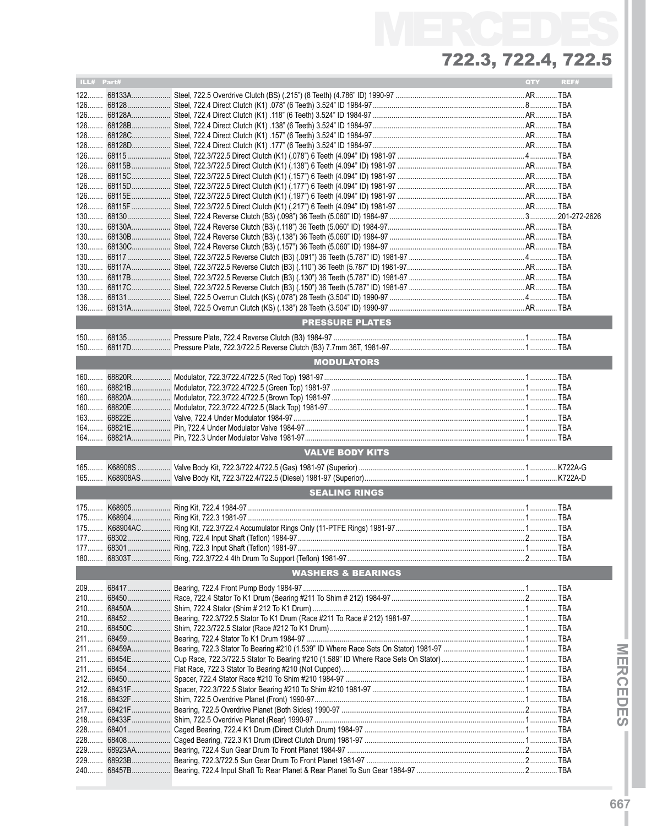| ILL# Part# |                               | QTY | REF# |
|------------|-------------------------------|-----|------|
|            |                               |     |      |
|            |                               |     |      |
|            |                               |     |      |
|            |                               |     |      |
|            |                               |     |      |
|            |                               |     |      |
|            |                               |     |      |
|            |                               |     |      |
|            |                               |     |      |
|            |                               |     |      |
|            |                               |     |      |
|            |                               |     |      |
|            |                               |     |      |
|            |                               |     |      |
|            |                               |     |      |
|            |                               |     |      |
|            |                               |     |      |
|            |                               |     |      |
|            |                               |     |      |
|            |                               |     |      |
|            |                               |     |      |
|            |                               |     |      |
|            | <b>PRESSURE PLATES</b>        |     |      |
|            |                               |     |      |
|            |                               |     |      |
|            | <b>MODULATORS</b>             |     |      |
|            |                               |     |      |
|            |                               |     |      |
|            |                               |     |      |
|            |                               |     |      |
|            |                               |     |      |
| $163$      |                               |     |      |
|            |                               |     |      |
|            |                               |     |      |
|            | <b>VALVE BODY KITS</b>        |     |      |
|            |                               |     |      |
| $165$      |                               |     |      |
| $165$      |                               |     |      |
|            | <b>SEALING RINGS</b>          |     |      |
|            |                               |     |      |
|            |                               |     |      |
|            |                               |     |      |
|            |                               |     |      |
|            |                               |     |      |
|            |                               |     |      |
|            | <b>WASHERS &amp; BEARINGS</b> |     |      |
|            |                               |     |      |
|            |                               |     |      |
|            |                               |     |      |
|            |                               |     |      |
|            |                               |     |      |
|            |                               |     |      |
|            |                               |     |      |
|            |                               |     |      |
|            |                               |     |      |
|            |                               |     |      |
|            |                               |     |      |
|            |                               |     |      |
|            |                               |     |      |
|            |                               |     |      |
|            |                               |     |      |
|            |                               |     |      |
|            |                               |     |      |
|            |                               |     |      |
|            |                               |     |      |
|            |                               |     |      |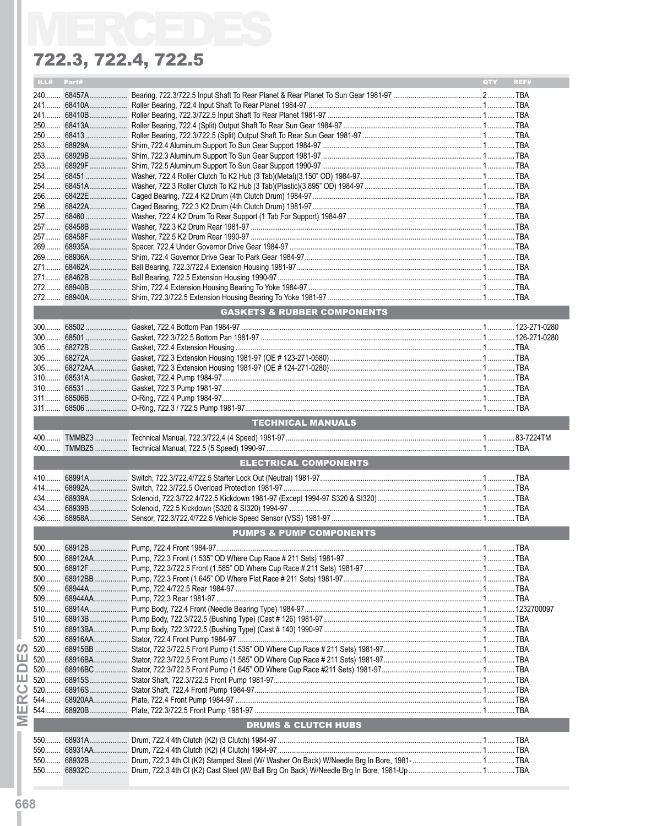|       | ILL# Part# |                                        | QTY | REF# |
|-------|------------|----------------------------------------|-----|------|
|       |            |                                        |     |      |
|       |            |                                        |     |      |
|       |            |                                        |     |      |
|       |            |                                        |     |      |
|       |            |                                        |     |      |
|       |            |                                        |     |      |
|       |            |                                        |     |      |
|       |            |                                        |     |      |
|       |            |                                        |     |      |
|       |            |                                        |     |      |
|       |            |                                        |     |      |
|       |            |                                        |     |      |
|       |            |                                        |     |      |
|       |            |                                        |     |      |
|       |            |                                        |     |      |
|       |            |                                        |     |      |
|       |            |                                        |     |      |
|       |            |                                        |     |      |
|       |            |                                        |     |      |
|       |            |                                        |     |      |
|       |            |                                        |     |      |
|       |            |                                        |     |      |
|       |            | <b>GASKETS &amp; RUBBER COMPONENTS</b> |     |      |
|       |            |                                        |     |      |
|       |            |                                        |     |      |
|       |            |                                        |     |      |
|       |            |                                        |     |      |
|       |            |                                        |     |      |
|       |            |                                        |     |      |
|       |            |                                        |     |      |
|       |            |                                        |     |      |
|       |            |                                        |     |      |
|       |            |                                        |     |      |
|       |            |                                        |     |      |
|       |            | <b>TECHNICAL MANUALS</b>               |     |      |
|       |            |                                        |     |      |
|       |            |                                        |     |      |
|       |            | <b>ELECTRICAL COMPONENTS</b>           |     |      |
|       |            |                                        |     |      |
|       |            |                                        |     |      |
|       |            |                                        |     |      |
|       |            |                                        |     |      |
|       |            |                                        |     |      |
|       |            |                                        |     |      |
|       |            |                                        |     |      |
|       |            | <b>PUMPS &amp; PUMP COMPONENTS</b>     |     |      |
| $500$ |            |                                        |     |      |
|       |            |                                        |     |      |
|       |            |                                        |     |      |
|       |            |                                        |     |      |
| $509$ |            |                                        |     |      |
|       |            |                                        |     |      |
| $509$ |            |                                        |     |      |
|       |            |                                        |     |      |
|       |            |                                        |     |      |
|       |            |                                        |     |      |
| $520$ |            |                                        |     |      |
| $520$ |            |                                        |     |      |
|       |            |                                        |     |      |
| $520$ |            |                                        |     |      |
| 520   |            |                                        |     |      |
| $520$ |            |                                        |     |      |
| 544   |            |                                        |     |      |
|       |            |                                        |     |      |
|       |            |                                        |     |      |
|       |            | <b>DRUMS &amp; CLUTCH HUBS</b>         |     |      |
| 550   |            |                                        |     |      |
| 550   |            |                                        |     |      |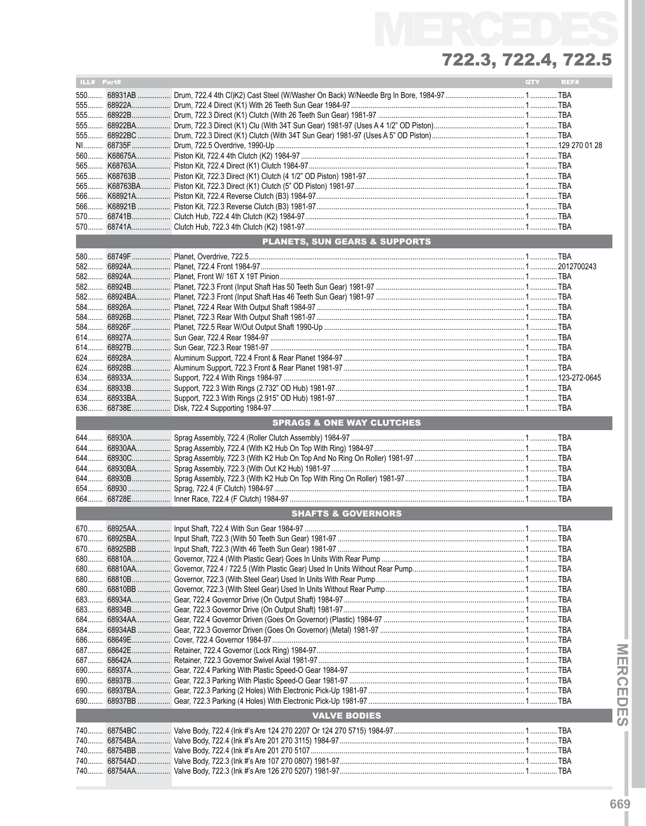| ILL# Part# |                                      | QTY | REF# |
|------------|--------------------------------------|-----|------|
|            |                                      |     |      |
|            |                                      |     |      |
|            |                                      |     |      |
|            |                                      |     |      |
| 555        |                                      |     |      |
|            |                                      |     |      |
|            |                                      |     |      |
|            |                                      |     |      |
|            |                                      |     |      |
|            |                                      |     |      |
|            |                                      |     |      |
|            |                                      |     |      |
|            |                                      |     |      |
|            |                                      |     |      |
|            |                                      |     |      |
|            | PLANETS, SUN GEARS & SUPPORTS        |     |      |
|            |                                      |     |      |
|            |                                      |     |      |
|            |                                      |     |      |
|            |                                      |     |      |
|            |                                      |     |      |
|            |                                      |     |      |
|            |                                      |     |      |
|            |                                      |     |      |
| 584        |                                      |     |      |
|            |                                      |     |      |
|            |                                      |     |      |
|            |                                      |     |      |
|            |                                      |     |      |
| 634        |                                      |     |      |
| 634        |                                      |     |      |
|            |                                      |     |      |
|            |                                      |     |      |
|            | <b>SPRAGS &amp; ONE WAY CLUTCHES</b> |     |      |
|            |                                      |     |      |
| 644        |                                      |     |      |
|            |                                      |     |      |
|            |                                      |     |      |
| 644        |                                      |     |      |
| 654        |                                      |     |      |
| 664        |                                      |     |      |
|            |                                      |     |      |
|            | <b>SHAFTS &amp; GOVERNORS</b>        |     |      |
|            |                                      |     |      |
|            |                                      |     |      |
|            |                                      |     |      |
|            |                                      |     |      |
| $680$      |                                      |     |      |
|            |                                      |     |      |
|            |                                      |     |      |
| 683        |                                      |     |      |
|            |                                      |     |      |
|            |                                      |     |      |
|            |                                      |     |      |
|            |                                      |     |      |
| 687        |                                      |     |      |
|            |                                      |     |      |
|            |                                      |     |      |
|            |                                      |     |      |
|            |                                      |     |      |
| 690        |                                      |     |      |
|            | <b>VALVE BODIES</b>                  |     |      |
|            |                                      |     |      |
|            |                                      |     |      |
|            |                                      |     |      |
|            |                                      |     |      |
|            |                                      |     |      |
|            |                                      |     |      |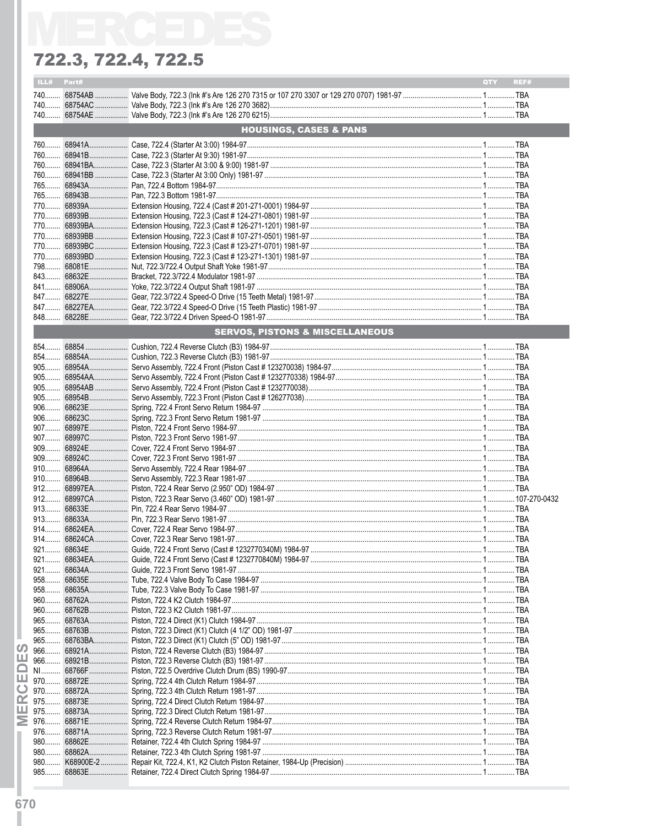|            | ILL# Part# |                                            | QTY REF# |
|------------|------------|--------------------------------------------|----------|
|            |            |                                            |          |
|            |            |                                            |          |
|            |            |                                            |          |
|            |            | <b>HOUSINGS, CASES &amp; PANS</b>          |          |
|            |            |                                            |          |
|            |            |                                            |          |
|            |            |                                            |          |
|            |            |                                            |          |
|            |            |                                            |          |
|            |            |                                            |          |
|            |            |                                            |          |
|            |            |                                            |          |
|            |            |                                            |          |
|            |            |                                            |          |
|            |            |                                            |          |
|            |            |                                            |          |
|            |            |                                            |          |
|            |            |                                            |          |
|            |            |                                            |          |
|            |            |                                            |          |
|            |            |                                            |          |
|            |            |                                            |          |
|            |            | <b>SERVOS, PISTONS &amp; MISCELLANEOUS</b> |          |
|            |            |                                            |          |
|            |            |                                            |          |
|            |            |                                            |          |
|            |            |                                            |          |
|            |            |                                            |          |
|            |            |                                            |          |
|            |            |                                            |          |
|            |            |                                            |          |
|            |            |                                            |          |
|            |            |                                            |          |
|            |            |                                            |          |
|            |            |                                            |          |
|            |            |                                            |          |
|            |            |                                            |          |
|            |            |                                            |          |
|            |            |                                            |          |
|            |            |                                            |          |
|            |            |                                            |          |
|            |            |                                            |          |
|            |            |                                            |          |
|            |            |                                            |          |
| 921        |            |                                            |          |
| $958$      |            |                                            |          |
|            |            |                                            |          |
|            |            |                                            |          |
| 965        |            |                                            |          |
| $965$      |            |                                            |          |
| $965$      |            |                                            |          |
| ഗ          |            |                                            |          |
| ш<br>$966$ |            |                                            |          |
| $N1$       |            |                                            |          |
| ш<br>970   |            |                                            |          |
| 970        |            |                                            |          |
| œ          |            |                                            |          |
| ш          |            |                                            |          |
| Σ<br>976   |            |                                            |          |
| 976        |            |                                            |          |
| 980        |            |                                            |          |
| $980$      |            |                                            |          |
| $980$      |            |                                            |          |
| 985        |            |                                            |          |